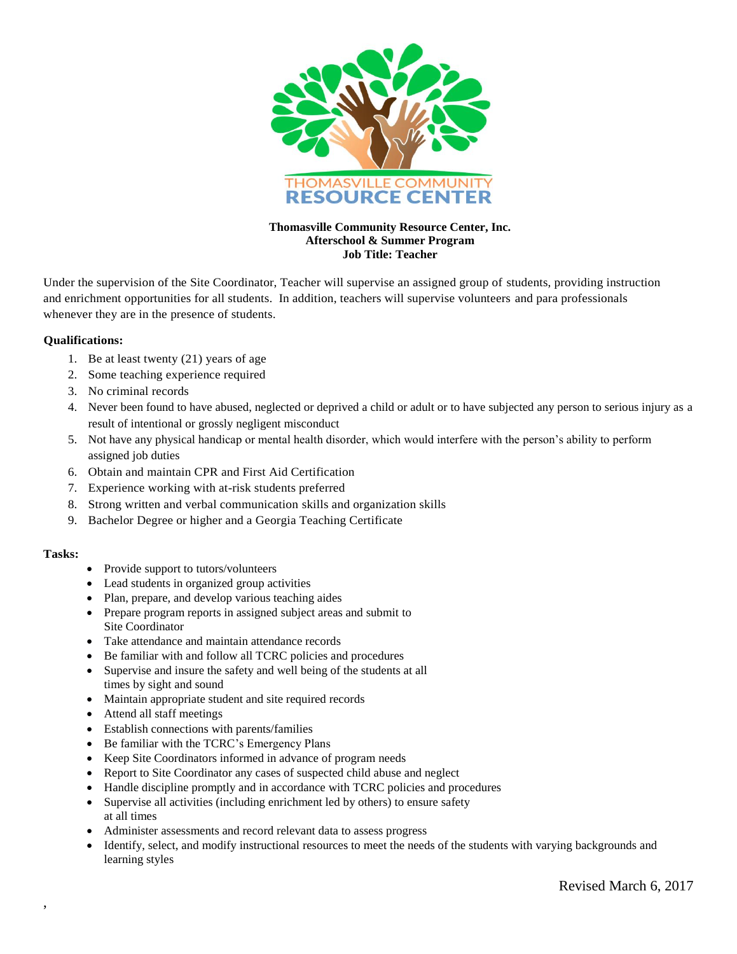

## **Thomasville Community Resource Center, Inc. Afterschool & Summer Program Job Title: Teacher**

Under the supervision of the Site Coordinator, Teacher will supervise an assigned group of students, providing instruction and enrichment opportunities for all students. In addition, teachers will supervise volunteers and para professionals whenever they are in the presence of students.

## **Qualifications:**

- 1. Be at least twenty (21) years of age
- 2. Some teaching experience required
- 3. No criminal records
- 4. Never been found to have abused, neglected or deprived a child or adult or to have subjected any person to serious injury as a result of intentional or grossly negligent misconduct
- 5. Not have any physical handicap or mental health disorder, which would interfere with the person's ability to perform assigned job duties
- 6. Obtain and maintain CPR and First Aid Certification
- 7. Experience working with at-risk students preferred
- 8. Strong written and verbal communication skills and organization skills
- 9. Bachelor Degree or higher and a Georgia Teaching Certificate

## **Tasks:**

,

- Provide support to tutors/volunteers
- Lead students in organized group activities
- Plan, prepare, and develop various teaching aides
- Prepare program reports in assigned subject areas and submit to Site Coordinator
- Take attendance and maintain attendance records
- Be familiar with and follow all TCRC policies and procedures
- Supervise and insure the safety and well being of the students at all times by sight and sound
- Maintain appropriate student and site required records
- Attend all staff meetings
- Establish connections with parents/families
- Be familiar with the TCRC's Emergency Plans
- Keep Site Coordinators informed in advance of program needs
- Report to Site Coordinator any cases of suspected child abuse and neglect
- Handle discipline promptly and in accordance with TCRC policies and procedures
- Supervise all activities (including enrichment led by others) to ensure safety at all times
- Administer assessments and record relevant data to assess progress
- Identify, select, and modify instructional resources to meet the needs of the students with varying backgrounds and learning styles